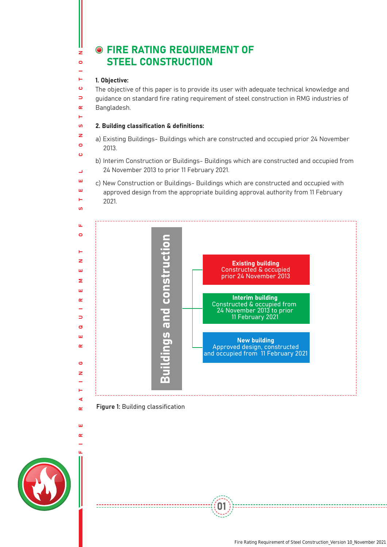# **O FIRE RATING REQUIREMENT OF** STEEL CONSTRUCTION

### 1. Objective:

 $\overline{z}$  $\overline{\mathbf{c}}$ 

ъ.  $\ddot{\mathbf{c}}$  $\Rightarrow$  $\alpha$ 

ທ. z  $\overline{a}$  $\ddot{\mathbf{c}}$ 

 $\overline{\phantom{0}}$ ш ш Ē.  $\overline{u}$ 

ц.  $\bullet$ 

z ш  $\overline{\mathbf{z}}$ ...  $\sim$ 

Ь ø ш  $\alpha$ 

Ő z

∢  $\alpha$ 

ш  $\alpha$ 

The objective of this paper is to provide its user with adequate technical knowledge and guidance on standard fire rating requirement of steel construction in RMG industries of Bangladesh.

### 2. Building classification & definitions:

a) Existing Buildings- Buildings which are constructed and occupied prior 24 November 2013.

b) Interim Construction or Buildings- Buildings which are constructed and occupied from 24 November 2013 to prior 11 February 2021.

c) New Construction or Buildings- Buildings which are constructed and occupied with approved design from the appropriate building approval authority from 11 February 2021.



01

### Figure 1: Building classification

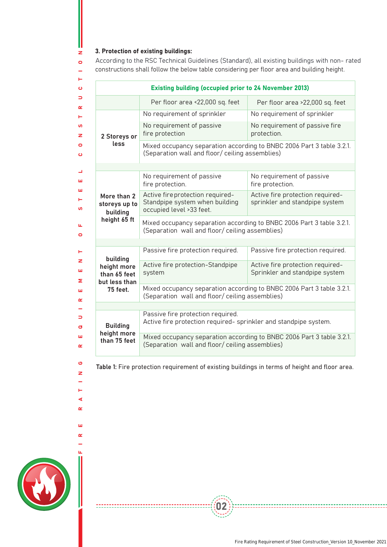## 3. Protection of existing buildings:

I.  $\bar{z}$  $\bullet$ L.

|                                                                 | <b>Existing building (occupied prior to 24 November 2013)</b>                                                            |                                                                    |
|-----------------------------------------------------------------|--------------------------------------------------------------------------------------------------------------------------|--------------------------------------------------------------------|
|                                                                 | Per floor area <22,000 sq. feet                                                                                          | Per floor area >22,000 sq. feet                                    |
|                                                                 | No requirement of sprinkler                                                                                              | No requirement of sprinkler                                        |
| 2 Storeys or<br>less                                            | No requirement of passive<br>fire protection                                                                             | No requirement of passive fire<br>protection.                      |
|                                                                 | Mixed occupancy separation according to BNBC 2006 Part 3 table 3.2.1.<br>(Separation wall and floor/ ceiling assemblies) |                                                                    |
|                                                                 |                                                                                                                          |                                                                    |
| More than 2<br>storeys up to<br>building<br>height 65 ft        | No requirement of passive<br>fire protection.                                                                            | No requirement of passive<br>fire protection.                      |
|                                                                 | Active fire protection required-<br>Standpipe system when building<br>occupied level >33 feet.                           | Active fire protection required-<br>sprinkler and standpipe system |
|                                                                 | Mixed occupancy separation according to BNBC 2006 Part 3 table 3.2.1.<br>(Separation wall and floor/ ceiling assemblies) |                                                                    |
|                                                                 | Passive fire protection required.                                                                                        | Passive fire protection required.                                  |
| building                                                        |                                                                                                                          |                                                                    |
| height more<br>than 65 feet<br>but less than<br><b>75 feet.</b> | Active fire protection-Standpipe<br>system                                                                               | Active fire protection required-<br>Sprinkler and standpipe system |
|                                                                 | Mixed occupancy separation according to BNBC 2006 Part 3 table 3.2.1.<br>(Separation wall and floor/ ceiling assemblies) |                                                                    |
|                                                                 |                                                                                                                          |                                                                    |
| <b>Building</b><br>height more<br>than 75 feet                  | Passive fire protection required.<br>Active fire protection required- sprinkler and standpipe system.                    |                                                                    |
|                                                                 | Mixed occupancy separation according to BNBC 2006 Part 3 table 3.2.1.<br>(Separation wall and floor/ ceiling assemblies) |                                                                    |
|                                                                 | Table 1: Fire protection requirement of existing buildings in terms of height and floor area.                            |                                                                    |

 $\langle 02$ 



-------------------------------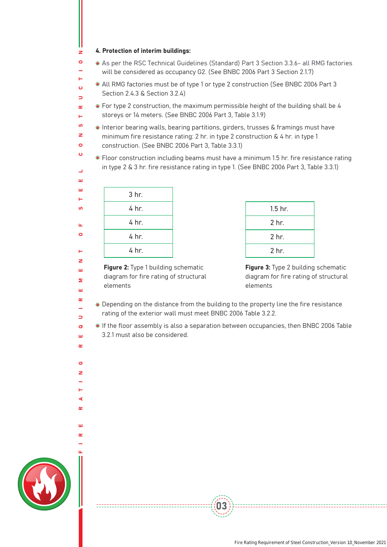#### 4. Protection of interim buildings:

- will be considered as occupancy G2. (See BNBC 2006 Part 3 Section 2.1.7) As per the RSC Technical Guidelines (Standard) Part 3 Section 3.3.6- all RMG factories
- All RMG factories must be of type 1 or type 2 construction (See BNBC 2006 Part 3 Section 2.4.3 & Section 3.2.4)
- For type 2 construction, the maximum permissible height of the building shall be 4 storeys or 14 meters. (See BNBC 2006 Part 3, Table 3.1.9)
- Interior bearing walls, bearing partitions, girders, trusses & framings must have minimum fire resistance rating: 2 hr. in type 2 construction & 4 hr. in type 1 construction. (See BNBC 2006 Part 3, Table 3.3.1)
	- Floor construction including beams must have a minimum 1.5 hr. fire resistance rating in type 2 & 3 hr. fire resistance rating in type 1. (See BNBC 2006 Part 3, Table 3.3.1)

| 3 hr. |
|-------|
| 4 hr. |
| 4 hr. |
| 4 hr. |
| 4 hr. |
|       |

FIRE RATING REQUIREMENT OF STEEL CONSTRUCTION

ø ×

⋖  $\sim$ 

ш  $\sim$ 

х.  $\overline{z}$ ш Σ 'nт  $\alpha$  $\overline{a}$  $\Rightarrow$  $\mathbf{a}$ ш  $\sim$ 

u.  $\circ$ 

Ш Ш Ē.  $\mathbf{u}$ 

 $\mathbf{z}$  $\bullet$ 

Ē.  $\ddot{\mathbf{c}}$  $\overline{\phantom{0}}$  $\alpha$ L. ທ. z  $\overline{a}$  $\ddot{\mathbf{c}}$ 

| $1.5$ hr.        |
|------------------|
| 2 hr.            |
| 2 <sub>hr.</sub> |
| 2 <sub>hr.</sub> |
|                  |

Figure 2: Type 1 building schematic diagram for fire rating of structural elements

Figure 3: Type 2 building schematic diagram for fire rating of structural elements

- Depending on the distance from the building to the property line the fire resistance rating of the exterior wall must meet BNBC 2006 Table 3.2.2.
- If the floor assembly is also a separation between occupancies, then BNBC 2006 Table 3.2.1 must also be considered.

03



-------------------------------